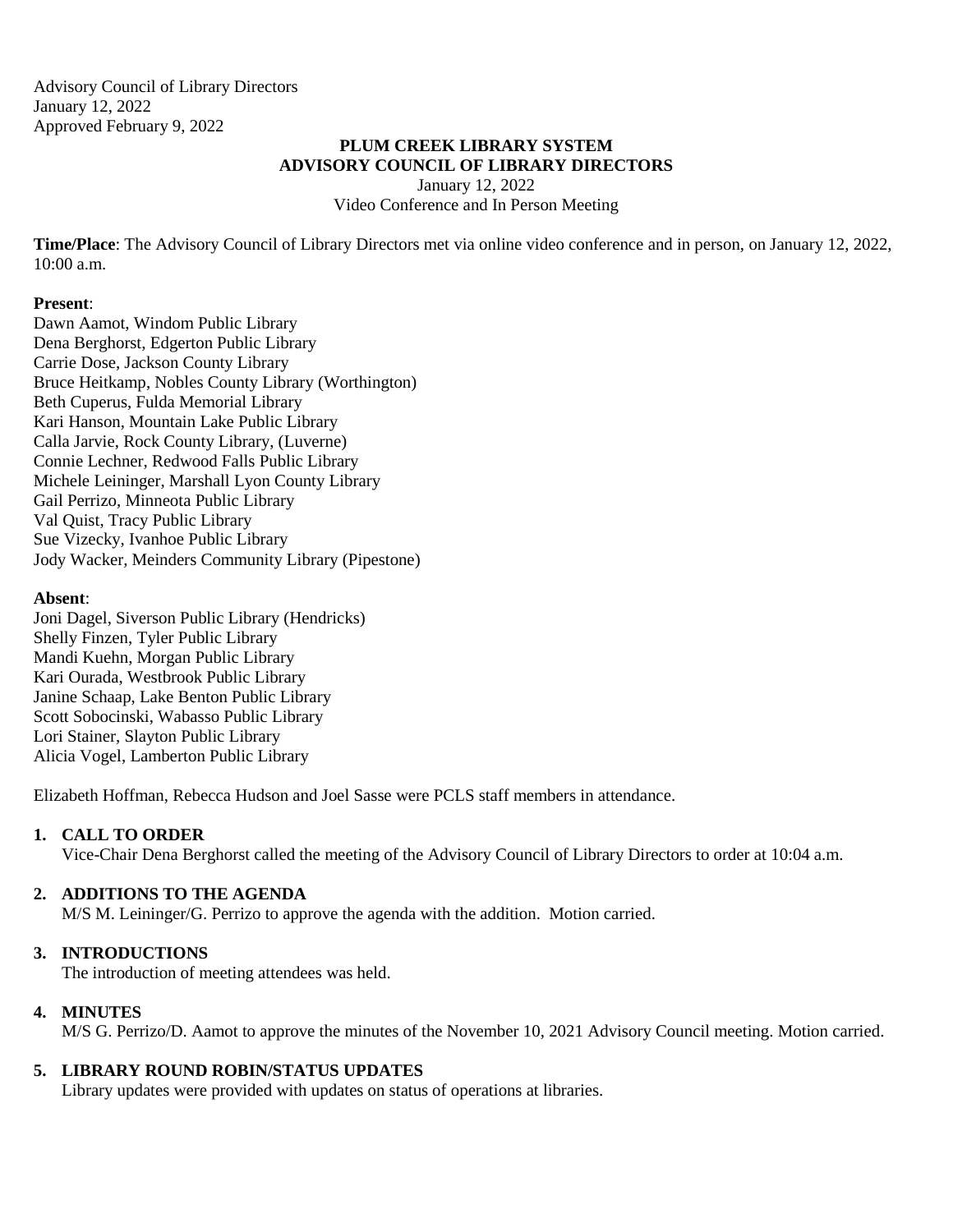Advisory Council of Library Directors January 12, 2022 Approved February 9, 2022

# **PLUM CREEK LIBRARY SYSTEM ADVISORY COUNCIL OF LIBRARY DIRECTORS**

January 12, 2022 Video Conference and In Person Meeting

**Time/Place**: The Advisory Council of Library Directors met via online video conference and in person, on January 12, 2022,  $10:00$  a.m.

### **Present**:

Dawn Aamot, Windom Public Library Dena Berghorst, Edgerton Public Library Carrie Dose, Jackson County Library Bruce Heitkamp, Nobles County Library (Worthington) Beth Cuperus, Fulda Memorial Library Kari Hanson, Mountain Lake Public Library Calla Jarvie, Rock County Library, (Luverne) Connie Lechner, Redwood Falls Public Library Michele Leininger, Marshall Lyon County Library Gail Perrizo, Minneota Public Library Val Quist, Tracy Public Library Sue Vizecky, Ivanhoe Public Library Jody Wacker, Meinders Community Library (Pipestone)

### **Absent**:

Joni Dagel, Siverson Public Library (Hendricks) Shelly Finzen, Tyler Public Library Mandi Kuehn, Morgan Public Library Kari Ourada, Westbrook Public Library Janine Schaap, Lake Benton Public Library Scott Sobocinski, Wabasso Public Library Lori Stainer, Slayton Public Library Alicia Vogel, Lamberton Public Library

Elizabeth Hoffman, Rebecca Hudson and Joel Sasse were PCLS staff members in attendance.

# **1. CALL TO ORDER**

Vice-Chair Dena Berghorst called the meeting of the Advisory Council of Library Directors to order at 10:04 a.m.

# **2. ADDITIONS TO THE AGENDA**

M/S M. Leininger/G. Perrizo to approve the agenda with the addition. Motion carried.

# **3. INTRODUCTIONS**

The introduction of meeting attendees was held.

#### **4. MINUTES**

M/S G. Perrizo/D. Aamot to approve the minutes of the November 10, 2021 Advisory Council meeting. Motion carried.

# **5. LIBRARY ROUND ROBIN/STATUS UPDATES**

Library updates were provided with updates on status of operations at libraries.